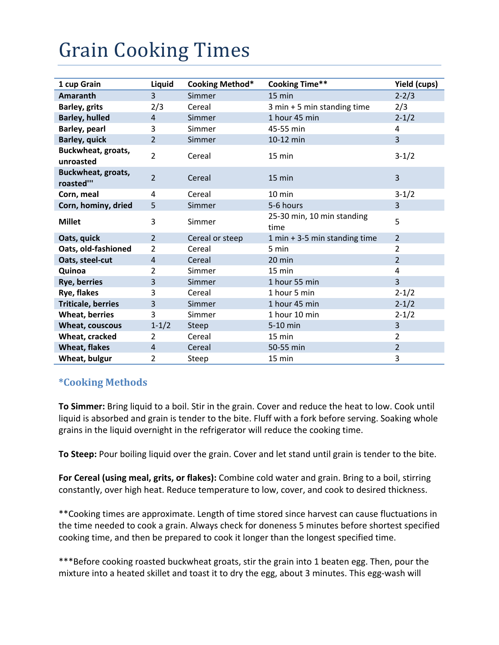## **Grain Cooking Times**

| 1 cup Grain                     | Liquid         | Cooking Method* | <b>Cooking Time**</b>              | Yield (cups)   |
|---------------------------------|----------------|-----------------|------------------------------------|----------------|
| Amaranth                        | 3              | Simmer          | $15 \text{ min}$                   | $2 - 2/3$      |
| <b>Barley, grits</b>            | 2/3            | Cereal          | 3 min + 5 min standing time        | 2/3            |
| <b>Barley, hulled</b>           | $\overline{4}$ | Simmer          | 1 hour 45 min                      | $2 - 1/2$      |
| Barley, pearl                   | 3              | Simmer          | 45-55 min                          | 4              |
| <b>Barley, quick</b>            | $\overline{2}$ | Simmer          | 10-12 min                          | 3              |
| Buckwheat, groats,<br>unroasted | $\overline{2}$ | Cereal          | 15 min                             | $3-1/2$        |
| Buckwheat, groats,<br>roasted"' | $\overline{2}$ | Cereal          | $15 \text{ min}$                   | $\overline{3}$ |
| Corn, meal                      | $\overline{4}$ | Cereal          | $10 \text{ min}$                   | $3-1/2$        |
| Corn, hominy, dried             | 5              | Simmer          | 5-6 hours                          | $\overline{3}$ |
| <b>Millet</b>                   | 3              | Simmer          | 25-30 min, 10 min standing<br>time | 5              |
| Oats, quick                     | 2              | Cereal or steep | 1 min + 3-5 min standing time      | $\overline{2}$ |
| Oats, old-fashioned             | 2              | Cereal          | 5 min                              | $\overline{2}$ |
| Oats, steel-cut                 | $\overline{4}$ | Cereal          | 20 min                             | $\overline{2}$ |
| Quinoa                          | 2              | Simmer          | 15 min                             | 4              |
| Rye, berries                    | 3              | Simmer          | 1 hour 55 min                      | $\overline{3}$ |
| Rye, flakes                     | 3              | Cereal          | 1 hour 5 min                       | $2 - 1/2$      |
| <b>Triticale, berries</b>       | 3              | Simmer          | 1 hour 45 min                      | $2 - 1/2$      |
| <b>Wheat, berries</b>           | 3              | Simmer          | 1 hour 10 min                      | $2 - 1/2$      |
| Wheat, couscous                 | $1 - 1/2$      | Steep           | 5-10 min                           | 3              |
| Wheat, cracked                  | 2              | Cereal          | 15 min                             | $\overline{2}$ |
| <b>Wheat, flakes</b>            | $\overline{4}$ | Cereal          | 50-55 min                          | $\overline{2}$ |
| Wheat, bulgur                   | 2              | Steep           | 15 min                             | 3              |

## **\*Cooking Methods**

**To Simmer:** Bring liquid to a boil. Stir in the grain. Cover and reduce the heat to low. Cook until liquid is absorbed and grain is tender to the bite. Fluff with a fork before serving. Soaking whole grains in the liquid overnight in the refrigerator will reduce the cooking time.

**To Steep:** Pour boiling liquid over the grain. Cover and let stand until grain is tender to the bite.

**For Cereal (using meal, grits, or flakes):** Combine cold water and grain. Bring to a boil, stirring constantly, over high heat. Reduce temperature to low, cover, and cook to desired thickness.

\*\*Cooking times are approximate. Length of time stored since harvest can cause fluctuations in the time needed to cook a grain. Always check for doneness 5 minutes before shortest specified cooking time, and then be prepared to cook it longer than the longest specified time.

\*\*\*Before cooking roasted buckwheat groats, stir the grain into 1 beaten egg. Then, pour the mixture into a heated skillet and toast it to dry the egg, about 3 minutes. This egg-wash will